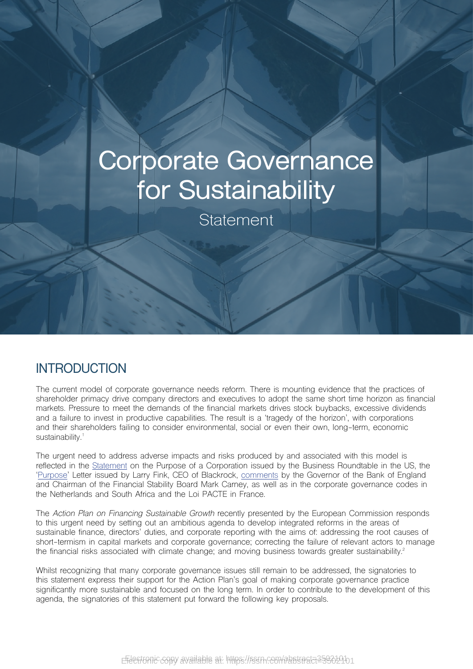# **Corporate Governance for Sustainability**

**Statement** 

#### **INTRODUCTION**

The current model of corporate governance needs reform. There is mounting evidence that the practices of shareholder primacy drive company directors and executives to adopt the same short time horizon as financial markets. Pressure to meet the demands of the financial markets drives stock buybacks, excessive dividends and a failure to invest in productive capabilities. The result is a 'tragedy of the horizon', with corporations and their shareholders failing to consider environmental, social or even their own, long-term, economic sustainability.<sup>1</sup>

The urgent need to address adverse impacts and risks produced by and associated with this model is reflected in the [Statement](https://opportunity.businessroundtable.org/wp-content/uploads/2019/09/BRT-Statement-on-the-Purpose-of-a-Corporation-with-Signatures-1.pdf) on the Purpose of a Corporation issued by the Business Roundtable in the US, the '[Purpose'](https://www.blackrock.com/corporate/investor-relations/2018-larry-fink-ceo-letter) Letter issued by Larry Fink, CEO of Blackrock, [comments](https://www.theguardian.com/environment/2019/apr/17/mark-carney-tells-global-banks-they-cannot-ignore-climate-change-dangers%3FCMP%3DShare_iOSApp_Other%26fbclid%3DIwAR0_n5eXVJLyrulPMhZ938JehvVo7p9P2NVPvps4Gv08P8gkdcijFCYN35o) by the Governor of the Bank of England and Chairman of the Financial Stability Board Mark Carney, as well as in the corporate governance codes in the Netherlands and South Africa and the Loi PACTE in France.

The *Action Plan on Financing Sustainable Growth* recently presented by the European Commission responds to this urgent need by setting out an ambitious agenda to develop integrated reforms in the areas of sustainable finance, directors' duties, and corporate reporting with the aims of: addressing the root causes of short-termism in capital markets and corporate governance; correcting the failure of relevant actors to manage the financial risks associated with climate change; and moving business towards greater sustainability.<sup>2</sup>

Whilst recognizing that many corporate governance issues still remain to be addressed, the signatories to this statement express their support for the Action Plan's goal of making corporate governance practice significantly more sustainable and focused on the long term. In order to contribute to the development of this agenda, the signatories of this statement put forward the following key proposals.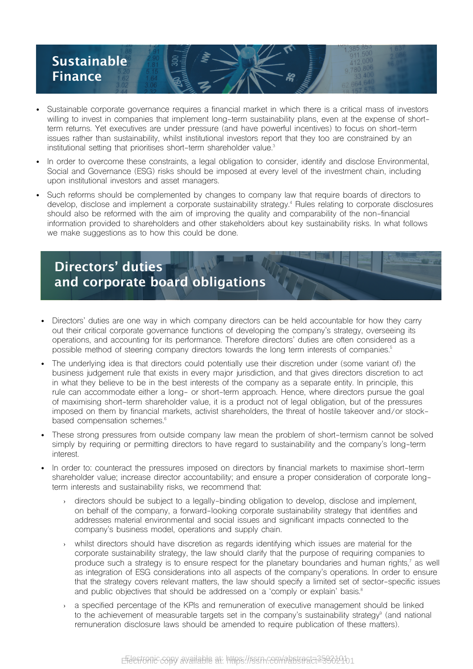

- Sustainable corporate governance requires a financial market in which there is a critical mass of investors willing to invest in companies that implement long-term sustainability plans, even at the expense of shortterm returns. Yet executives are under pressure (and have powerful incentives) to focus on short-term issues rather than sustainability, whilst institutional investors report that they too are constrained by an institutional setting that prioritises short-term shareholder value.<sup>3</sup>
- In order to overcome these constraints, a legal obligation to consider, identify and disclose Environmental, Social and Governance (ESG) risks should be imposed at every level of the investment chain, including upon institutional investors and asset managers.
- Such reforms should be complemented by changes to company law that require boards of directors to develop, disclose and implement a corporate sustainability strategy.4 Rules relating to corporate disclosures should also be reformed with the aim of improving the quality and comparability of the non-financial information provided to shareholders and other stakeholders about key sustainability risks. In what follows we make suggestions as to how this could be done.

# **Directors' duties and corporate board obligations**

- Directors' duties are one way in which company directors can be held accountable for how they carry out their critical corporate governance functions of developing the company's strategy, overseeing its operations, and accounting for its performance. Therefore directors' duties are often considered as a possible method of steering company directors towards the long term interests of companies.<sup>5</sup>
- The underlying idea is that directors could potentially use their discretion under (some variant of) the business judgement rule that exists in every major jurisdiction, and that gives directors discretion to act in what they believe to be in the best interests of the company as a separate entity. In principle, this rule can accommodate either a long- or short-term approach. Hence, where directors pursue the goal of maximising short-term shareholder value, it is a product not of legal obligation, but of the pressures imposed on them by financial markets, activist shareholders, the threat of hostile takeover and/or stockbased compensation schemes.<sup>6</sup>
- These strong pressures from outside company law mean the problem of short-termism cannot be solved simply by requiring or permitting directors to have regard to sustainability and the company's long-term interest.
- In order to: counteract the pressures imposed on directors by financial markets to maximise short-term shareholder value; increase director accountability; and ensure a proper consideration of corporate longterm interests and sustainability risks, we recommend that:
	- directors should be subject to a legally-binding obligation to develop, disclose and implement, on behalf of the company, a forward-looking corporate sustainability strategy that identifies and addresses material environmental and social issues and significant impacts connected to the company's business model, operations and supply chain.
	- whilst directors should have discretion as regards identifying which issues are material for the corporate sustainability strategy, the law should clarify that the purpose of requiring companies to produce such a strategy is to ensure respect for the planetary boundaries and human rights,' as well as integration of ESG considerations into all aspects of the company's operations. In order to ensure that the strategy covers relevant matters, the law should specify a limited set of sector-specific issues and public objectives that should be addressed on a 'comply or explain' basis.<sup>8</sup>
	- a specified percentage of the KPIs and remuneration of executive management should be linked to the achievement of measurable targets set in the company's sustainability strategy<sup>9</sup> (and national remuneration disclosure laws should be amended to require publication of these matters).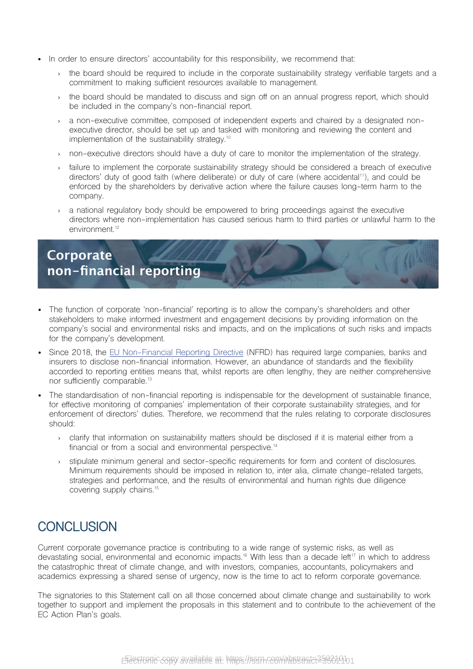- In order to ensure directors' accountability for this responsibility, we recommend that:
	- › the board should be required to include in the corporate sustainability strategy verifiable targets and a commitment to making sufficient resources available to management.
	- › the board should be mandated to discuss and sign off on an annual progress report, which should be included in the company's non-financial report.
	- › a non-executive committee, composed of independent experts and chaired by a designated nonexecutive director, should be set up and tasked with monitoring and reviewing the content and implementation of the sustainability strategy.<sup>10</sup>
	- › non-executive directors should have a duty of care to monitor the implementation of the strategy.
	- failure to implement the corporate sustainability strategy should be considered a breach of executive directors' duty of good faith (where deliberate) or duty of care (where accidental<sup>11</sup>), and could be enforced by the shareholders by derivative action where the failure causes long-term harm to the company.
	- a national regulatory body should be empowered to bring proceedings against the executive directors where non-implementation has caused serious harm to third parties or unlawful harm to the environment<sup>12</sup>

## **Corporate non-financial reporting**

- The function of corporate 'non-financial' reporting is to allow the company's shareholders and other stakeholders to make informed investment and engagement decisions by providing information on the company's social and environmental risks and impacts, and on the implications of such risks and impacts for the company's development.
- Since 2018, the [EU Non-Financial Reporting Directive](https://ec.europa.eu/info/business-economy-euro/company-reporting-and-auditing/company-reporting/non-financial-reporting_en) (NFRD) has required large companies, banks and insurers to disclose non-financial information. However, an abundance of standards and the flexibility accorded to reporting entities means that, whilst reports are often lengthy, they are neither comprehensive nor sufficiently comparable.<sup>13</sup>
- The standardisation of non-financial reporting is indispensable for the development of sustainable finance, for effective monitoring of companies' implementation of their corporate sustainability strategies, and for enforcement of directors' duties. Therefore, we recommend that the rules relating to corporate disclosures should:
	- › clarify that information on sustainability matters should be disclosed if it is material either from a financial or from a social and environmental perspective.<sup>14</sup>
	- › stipulate minimum general and sector-specific requirements for form and content of disclosures. Minimum requirements should be imposed in relation to, inter alia, climate change-related targets, strategies and performance, and the results of environmental and human rights due diligence covering supply chains.<sup>15</sup>

### **CONCLUSION**

Current corporate governance practice is contributing to a wide range of systemic risks, as well as devastating social, environmental and economic impacts.<sup>16</sup> With less than a decade left<sup>17</sup> in which to address the catastrophic threat of climate change, and with investors, companies, accountants, policymakers and academics expressing a shared sense of urgency, now is the time to act to reform corporate governance.

The signatories to this Statement call on all those concerned about climate change and sustainability to work together to support and implement the proposals in this statement and to contribute to the achievement of the EC Action Plan's goals.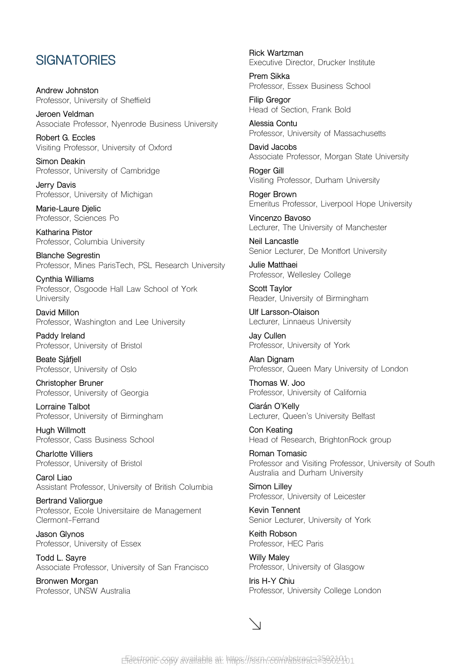#### **SIGNATORIES**

**Andrew Johnston** Professor, University of Sheffield

**Jeroen Veldman** Associate Professor, Nyenrode Business University

**Robert G. Eccles** Visiting Professor, University of Oxford

**Simon Deakin** Professor, University of Cambridge

**Jerry Davis** Professor, University of Michigan

**Marie-Laure Djelic** Professor, Sciences Po

**Katharina Pistor** Professor, Columbia University

**Blanche Segrestin** Professor, Mines ParisTech, PSL Research University

**Cynthia Williams** Professor, Osgoode Hall Law School of York **University** 

**David Millon** Professor, Washington and Lee University

**Paddy Ireland** Professor, University of Bristol

**Beate Sjåfjell** Professor, University of Oslo

**Christopher Bruner** Professor, University of Georgia

**Lorraine Talbot** Professor, University of Birmingham

**Hugh Willmott** Professor, Cass Business School

**Charlotte Villiers** Professor, University of Bristol

**Carol Liao** Assistant Professor, University of British Columbia

**Bertrand Valiorgue** Professor, Ecole Universitaire de Management Clermont-Ferrand

**Jason Glynos** Professor, University of Essex

**Todd L. Sayre** Associate Professor, University of San Francisco

**Bronwen Morgan** Professor, UNSW Australia **Rick Wartzman** Executive Director, Drucker Institute

**Prem Sikka** Professor, Essex Business School

**Filip Gregor** Head of Section, Frank Bold

**Alessia Contu** Professor, University of Massachusetts

**David Jacobs** Associate Professor, Morgan State University

**Roger Gill** Visiting Professor, Durham University

**Roger Brown** Emeritus Professor, Liverpool Hope University

**Vincenzo Bavoso** Lecturer, The University of Manchester

**Neil Lancastle** Senior Lecturer, De Montfort University

**Julie Matthaei** Professor, Wellesley College

**Scott Taylor** Reader, University of Birmingham

**Ulf Larsson-Olaison** Lecturer, Linnaeus University

**Jay Cullen** Professor, University of York

**Alan Dignam** Professor, Queen Mary University of London

**Thomas W. Joo** Professor, University of California

**Ciarán O'Kelly** Lecturer, Queen's University Belfast

**Con Keating** Head of Research, BrightonRock group

**Roman Tomasic** Professor and Visiting Professor, University of South Australia and Durham University

**Simon Lilley** Professor, University of Leicester

**Kevin Tennent** Senior Lecturer, University of York

**Keith Robson** Professor, HEC Paris

**Willy Maley** Professor, University of Glasgow

**Iris H-Y Chiu** Professor, University College London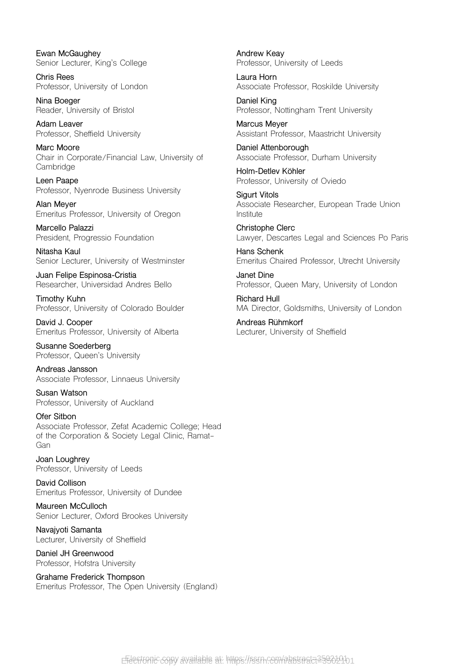**Ewan McGaughey** Senior Lecturer, King's College

**Chris Rees** Professor, University of London

**Nina Boeger** Reader, University of Bristol

**Adam Leaver** Professor, Sheffield University

**Marc Moore** Chair in Corporate/Financial Law, University of Cambridge

**Leen Paape** Professor, Nyenrode Business University

**Alan Meyer** Emeritus Professor, University of Oregon

**Marcello Palazzi** President, Progressio Foundation

**Nitasha Kaul** Senior Lecturer, University of Westminster

**Juan Felipe Espinosa-Cristia** Researcher, Universidad Andres Bello

**Timothy Kuhn** Professor, University of Colorado Boulder

**David J. Cooper** Emeritus Professor, University of Alberta

**Susanne Soederberg** Professor, Queen's University

**Andreas Jansson** Associate Professor, Linnaeus University

**Susan Watson** Professor, University of Auckland

**Ofer Sitbon** Associate Professor, Zefat Academic College; Head of the Corporation & Society Legal Clinic, Ramat-Gan

**Joan Loughrey** Professor, University of Leeds

**David Collison** Emeritus Professor, University of Dundee

**Maureen McCulloch** Senior Lecturer, Oxford Brookes University

**Navajyoti Samanta** Lecturer, University of Sheffield

**Daniel JH Greenwood** Professor, Hofstra University

**Grahame Frederick Thompson** Emeritus Professor, The Open University (England) **Andrew Keay** Professor, University of Leeds

**Laura Horn** Associate Professor, Roskilde University

**Daniel King** Professor, Nottingham Trent University

**Marcus Meyer** Assistant Professor, Maastricht University

**Daniel Attenborough** Associate Professor, Durham University

**Holm-Detlev Köhler** Professor, University of Oviedo

**Sigurt Vitols** Associate Researcher, European Trade Union Institute

**Christophe Clerc** Lawyer, Descartes Legal and Sciences Po Paris

**Hans Schenk** Emeritus Chaired Professor, Utrecht University

**Janet Dine** Professor, Queen Mary, University of London

**Richard Hull**  MA Director, Goldsmiths, University of London

**Andreas Rühmkorf** Lecturer, University of Sheffield